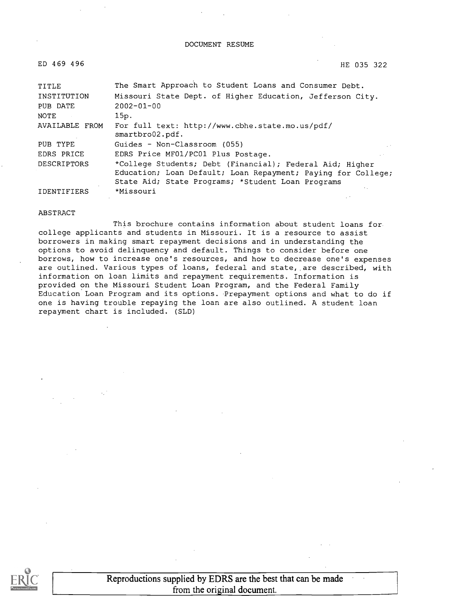#### DOCUMENT RESUME

| ED 469 496         | HE 035 322                                                         |
|--------------------|--------------------------------------------------------------------|
| TITLE              | The Smart Approach to Student Loans and Consumer Debt.             |
| INSTITUTION        | Missouri State Dept. of Higher Education, Jefferson City.          |
| PUB DATE           | $2002 - 01 - 00$                                                   |
| NOTE               | 15p.                                                               |
| AVAILABLE FROM     | For full text: http://www.cbhe.state.mo.us/pdf/<br>smartbro02.pdf. |
| PUB TYPE           | Guides - Non-Classroom (055)                                       |
| EDRS PRICE         | EDRS Price MF01/PC01 Plus Postage.                                 |
| <b>DESCRIPTORS</b> | *College Students; Debt (Financial); Federal Aid; Higher           |
|                    | Education; Loan Default; Loan Repayment; Paying for College;       |
|                    | State Aid; State Programs; *Student Loan Programs                  |
| IDENTIFIERS        | *Missouri                                                          |

#### ABSTRACT

This brochure contains information about student loans for college applicants and students in Missouri. It is a resource to assist borrowers in making smart repayment decisions and in understanding the options to avoid delinquency and default. Things to consider before one borrows, how to increase one's resources, and how to decrease one's expenses are outlined. Various types of loans, federal and state, are described, with information on loan limits and repayment requirements. Information is provided on the Missouri Student Loan Program, and the Federal Family Education Loan Program and its options. Prepayment options and what to do if one is having trouble repaying the loan are also outlined. A student loan repayment chart is included. (SLD)



Reproductions supplied by EDRS are the best that can be made from the original document.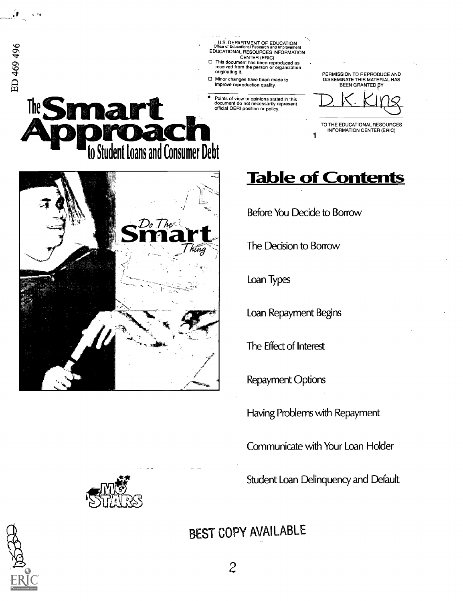

Having Problems with Repayment

Communicate with Your Loan Holder

Student Loan Delinquency and Default

BEST COPY AVAILABLE





ú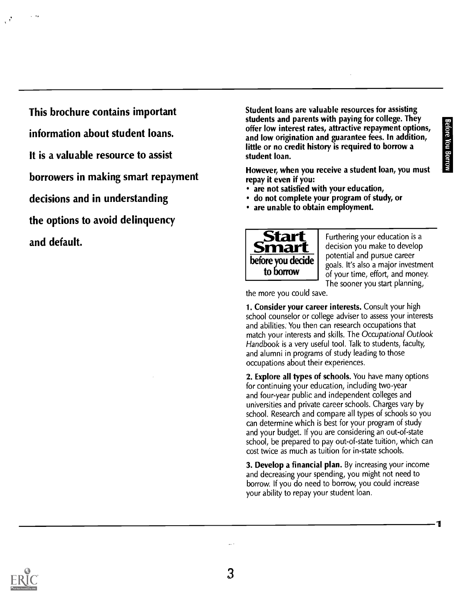1

This brochure contains important information about student loans. It is a valuable resource to assist borrowers in making smart repayment decisions and in understanding the options to avoid delinquency and default.

Student loans are valuable resources for assisting students and parents with paying for college. They<br>offer low interest rates, attractive repayment options,<br>and low origination and guarantee fees. In addition,<br>little or no credit history is required to borrow a<br>student lo offer low interest rates, attractive repayment options, and low origination and guarantee fees. In addition, little or no credit history is required to borrow a student loan.

However, when you receive a student loan, you must repay it even if you:

- are not satisfied with your education,
- do not complete your program of study, or
- are unable to obtain employment.



**to borrow**  $\int$  of your time, effort, and money. Furthering your education is a decision you make to develop potential and pursue career goals. It's also a major investment The sooner you start planning,

the more you could sa ve.

1. Consider your career interests. Consult your high school counselor or college adviser to assess your interests and abilities: You then can research occupations that match your interests and skills. The Occupational Outlook Handbook is a very useful tool. Talk to students, faculty, and alumni in programs of study leading to those occupations about their experiences.

2. Explore all types of schools. You have many options for continuing your education, including two-year and four-year public and independent colleges and universities and private career schools. Charges vary by school. Research and compare all types of schools so you can determine which is best for your program of study and your budget. If you are considering an out-of-state school, be prepared to pay out-of-state tuition, which can cost twice as much as tuition for in-state schools.

3. Develop a financial plan. By increasing your income and decreasing your spending, you might not need to borrow. If you do need to borrow, you could increase your ability to repay your student loan.

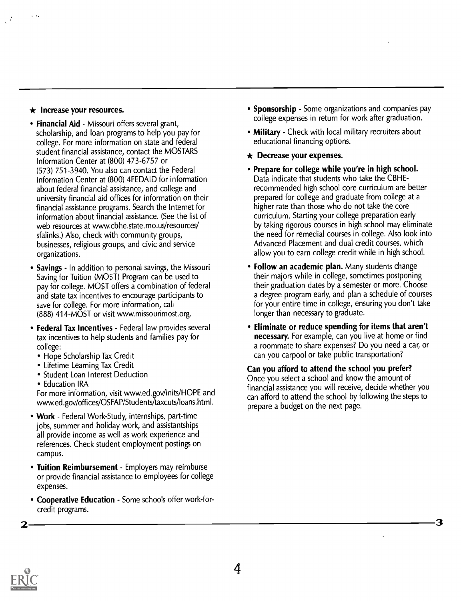### $\star$  Increase your resources.

- Financial Aid Missouri offers several grant, scholarship, and loan programs to help you pay for college. For more information on state and federal student financial assistance, contact the MOSTARS Information Center at (800) 473-6757 or (573) 751-3940. You also can contact the Federal Information Center at (800) 4FEDAID for information about federal financial assistance, and college and university financial aid offices for information on their financial assistance programs. Search the Internet for information about financial assistance. (See the list of web resources at www.cbhe.state.mo.us/resources/ sfalinks.) Also, check with community groups, businesses, religious groups, and civic and service organizations.
- Savings In addition to personal savings, the Missouri Saving for Tuition (MO\$T) Program can be used to pay for college. MO\$T offers a combination of federal and state tax incentives to encourage participants to save for college. For more information, call (888) 414-MOST or visit www.missourimost.org.
- Federal Tax Incentives Federal law provides several tax incentives to help students and families pay for college:
	- Hope Scholarship Tax Credit
	- Lifetime Learning Tax Credit
	- Student Loan Interest Deduction
	- Education IRA

For more information, visit www.ed.gov/inits/HOPE and www.ed.gov/offices/OSFAP/Students/taxcuts/loans.html.

- Work Federal Work-Study, internships, part-time jobs, summer and holiday work, and assistantships all provide income as well as work experience and references. Check student employment postings on campus.
- Tuition Reimbursement Employers may reimburse or provide financial assistance to employees for college expenses.
- Cooperative Education Some schools offer work-forcredit programs.
- Sponsorship Some organizations and companies pay college expenses in return for work after graduation.
- Military Check with local military recruiters about educational financing options.
- $\star$  Decrease your expenses.
- Prepare for college while you're in high school. Data indicate that students who take the CBHErecommended high school core curriculum are better prepared for college and graduate from college at a higher rate than those who do not take the core curriculum. Starting your college preparation early by taking rigorous courses in high school may eliminate the need for remedial courses in college. Also look into Advanced Placement and dual credit courses, which allow you to earn college credit while in high school.
- Follow an academic plan. Many students change their majors while in college, sometimes postponing their graduation dates by a semester or more. Choose a degree program early, and plan a schedule of courses for your entire time in college, ensuring you don't take longer than necessary to graduate.
- Eliminate or reduce spending for items that aren't necessary. For example, can you live at home or find a roommate to share expenses? Do you need a car, or can you carpool or take public transportation?

Can you afford to attend the school you prefer? Once you select a school and know the amount of financial assistance you will receive, decide whether you can afford to attend the school by following the steps to prepare a budget on the next page.



2 ——————————————————————————————3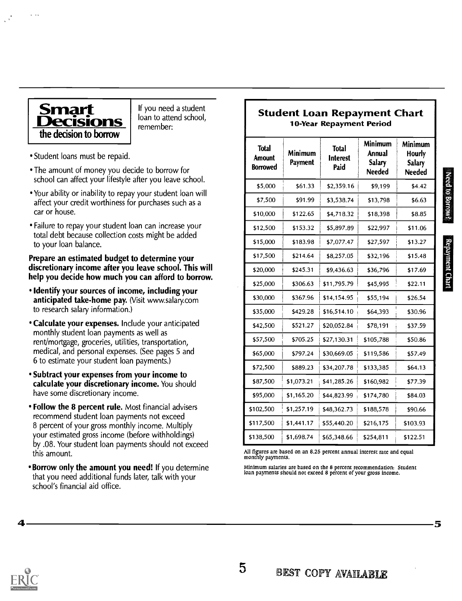

If you need a student loan to attend school, remember:

- Student loans must be repaid.
- The amount of money you decide to borrow for school can affect your lifestyle after you leave school.
- Your ability or inability to repay your student loan will affect your credit worthiness for purchases such as a car or house.
- Failure to repay your student loan can increase your total debt because collection costs might be added to your loan balance.

#### Prepare an estimated budget to determine your discretionary income after you leave school. This will help you decide how much you can afford to borrow.

- Identify your sources of income, including your anticipated take-home pay. (Visit www.salary.com to research salary information.)
- **Calculate your expenses.** Include your anticipated monthly student loan payments as well as rent/mortgage, groceries, utilities, transportation, medical, and personal expenses. (See pages 5 and 6 to estimate your student loan payments.)
- Subtract your expenses from your income to calculate your discretionary income. You should have some discretionary income.
- Follow the 8 percent rule. Most financial advisers recommend student loan payments not exceed 8 percent of your gross monthly income. Multiply your estimated gross income (before withholdings) by .08. Your student loan payments should not exceed this amount.
- **Borrow only the amount you need!** If you determine that you need additional funds later, talk with your school's financial aid office.

### Student Loan Repayment Chart 10-Year Repayment Period

| <b>Total</b><br><b>Amount</b><br><b>Borrowed</b> | Minimum<br>Payment | <b>Total</b><br><b>Interest</b><br>Paid | <b>Minimum</b><br>Annual<br><b>Salary</b><br><b>Needed</b> | Minimum<br><b>Hourly</b><br><b>Salary</b><br><b>Needed</b> |                 |
|--------------------------------------------------|--------------------|-----------------------------------------|------------------------------------------------------------|------------------------------------------------------------|-----------------|
| \$5,000                                          | \$61.33            | \$2,359.16                              | \$9,199                                                    | \$4.42                                                     | Need to Borrow? |
| \$7,500                                          | \$91.99            | \$3,538.74                              | \$13,798                                                   | \$6.63                                                     |                 |
| \$10,000                                         | \$122.65           | \$4,718.32                              | \$18,398                                                   | \$8.85                                                     |                 |
| \$12,500                                         | \$153.32           | \$5,897.89                              | \$22,997                                                   | \$11.06                                                    |                 |
| \$15,000                                         | \$183.98           | \$7,077.47                              | \$27,597                                                   | \$13.27                                                    |                 |
| \$17,500                                         | \$214.64           | \$8,257.05                              | \$32,196                                                   | \$15.48                                                    | Repayment Chart |
| \$20,000                                         | \$245.31           | \$9,436.63                              | \$36,796                                                   | \$17.69                                                    |                 |
| \$25,000                                         | \$306.63           | \$11,795.79                             | \$45,995                                                   | \$22.11                                                    |                 |
| \$30,000                                         | \$367.96           | \$14,154.95                             | \$55,194                                                   | \$26.54                                                    |                 |
| \$35,000                                         | \$429.28           | \$16,514.10                             | \$64,393                                                   | \$30.96                                                    |                 |
| \$42,500                                         | \$521.27           | \$20,052.84                             | \$78,191                                                   | \$37.59                                                    |                 |
| \$57,500                                         | \$705.25           | \$27,130.31                             | \$105,788                                                  | \$50.86                                                    |                 |
| \$65,000                                         | \$797.24           | \$30,669.05                             | \$119,586                                                  | \$57.49                                                    |                 |
| \$72,500                                         | \$889.23           | \$34,207.78                             | \$133,385                                                  | \$64.13                                                    |                 |
| \$87,500                                         | \$1,073.21         | \$41,285.26                             | \$160,982                                                  | \$77.39                                                    |                 |
| \$95,000                                         | \$1,165.20         | \$44,823.99                             | \$174,780                                                  | \$84.03                                                    |                 |
| \$102,500                                        | \$1,257.19         | \$48,362.73                             | \$188,578                                                  | \$90.66                                                    |                 |
| \$117,500                                        | \$1,441.17         | \$55,440.20                             | \$216,175                                                  | \$103.93                                                   |                 |
| \$138,500                                        | \$1,698.74         | \$65,348.66                             | \$254,811                                                  | \$122.51                                                   |                 |

All figures are based on an 8.25 percent annual interest rate and equal monthly payments.

Minimum salaries are based on the 8 percent recommendation: Student loan payments should not exceed 8 percent of your gross income.

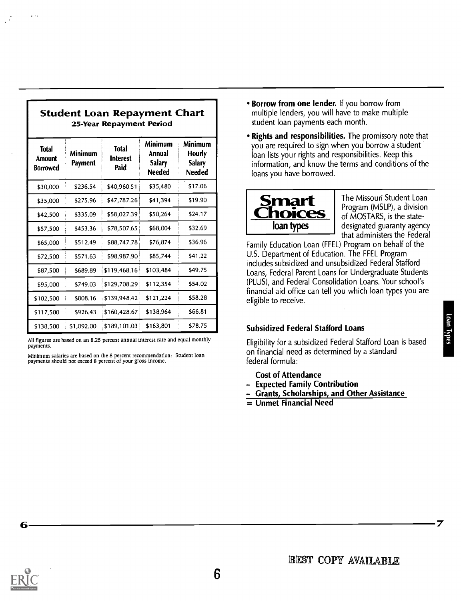|                                           |                    | 25-Year Repayment Period                |                                                     |                                                     |
|-------------------------------------------|--------------------|-----------------------------------------|-----------------------------------------------------|-----------------------------------------------------|
| <b>Total</b><br>Amount<br><b>Borrowed</b> | Minimum<br>Payment | <b>Total</b><br><b>Interest</b><br>Paid | Minimum<br>Annual<br><b>Salary</b><br><b>Needed</b> | Minimum<br>Hourly<br><b>Salary</b><br><b>Needed</b> |
| \$30,000                                  | \$236.54           | \$40,960.51                             | \$35,480                                            | \$17.06                                             |
| \$35,000                                  | \$275.96           | \$47,787.26                             | \$41,394                                            | \$19.90                                             |
| \$42,500                                  | \$335.09           | \$58,027.39                             | \$50,264                                            | \$24.17                                             |
| \$57,500                                  | \$453.36           | \$78,507.65                             | \$68,004                                            | \$32.69                                             |
| \$65,000                                  | \$512.49           | \$88,747.78                             | \$76,874                                            | \$36.96                                             |
| \$72,500                                  | \$571.63           | \$98,987.90                             | \$85,744                                            | \$41.22                                             |
| \$87,500                                  | \$689.89           | \$119,468.16                            | \$103,484                                           | \$49.75                                             |
| \$95,000                                  | \$749.03           | \$129,708.29                            | \$112,354                                           | \$54.02                                             |
| \$102,500                                 | \$808.16           | \$139,948.42                            | \$121,224                                           | \$58.28                                             |
| \$117,500                                 | \$926.43           | \$160,428.67                            | \$138,964                                           | \$66.81                                             |
| \$138,500                                 | \$1,092.00         | \$189,101.03                            | \$163,801                                           | \$78.75                                             |

Student Loan Repayment Chart

All figures are based on an 8.25 percent annual interest rate and equal monthly payments.

Minimum salaries are based on the 8 percent recommendation: Student loan payments should not exceed 8 percent of your gross income.

- **Borrow from one lender.** If you borrow from multiple lenders, you will have to make multiple student loan payments each month.
- Minimum you are required to sign when you borrow a student • Rights and responsibilities. The promissory note that loan lists your rights and responsibilities. Keep this information, and know the terms and conditions of the loans you have borrowed.



The Missouri Student Loan Program (MSLP), a division of MOSTARS, is the statedesignated guaranty agency that administers the Federal

Family Education Loan (FFEL) Program on behalf of the U.S. Department of Education. The FFEL Program includes subsidized and unsubsidized Federal Stafford Loans, Federal Parent Loans for Undergraduate Students (PLUS), and Federal Consolidation Loans. Your school's financial aid office can tell you which loan types you are eligible to receive.

### Subsidized Federal Stafford Loans

Subsidized Federal Stafford Loans<br>Eligibility for a subsidized Federal Stafford Loan is based on financial need as determined by a standard federal formula:

- Cost of Attendance
- Expected Family Contribution
- Grants, Scholarships, and Other Assistance
- = Unmet Financial Need

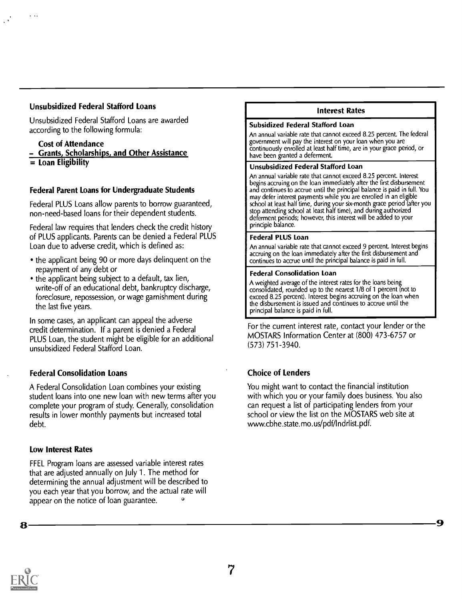### Unsubsidized Federal Stafford Loans

Unsubsidized Federal Stafford Loans are awarded according to the following formula:

### Cost of Attendance

- Grants, Scholarships, and Other Assistance
- $=$  Loan Eligibility

### Federal Parent Loans for Undergraduate Students

Federal PLUS Loans allow parents to borrow guaranteed, non-need-based loans for their dependent students.

Federal law requires that lenders check the credit history of PLUS applicants. Parents can be denied a Federal PLUS Loan due to adverse credit, which is defined as:

- the applicant being 90 or more days delinquent on the repayment of any debt or
- the applicant being subject to a default, tax lien, write-off of an educational debt, bankruptcy discharge, foreclosure, repossession, or wage garnishment during the last five years.

In some cases, an applicant can appeal the adverse credit determination. If a parent is denied a Federal PLUS Loan, the student might be eligible for an additional unsubsidized Federal Stafford Loan.

### Federal Consolidation Loans

A Federal Consolidation Loan combines your existing student loans into one new loan with new terms after you complete your program of study. Generally, consolidation results in lower monthly payments but increased total debt.

### Low Interest Rates

FFEL Program loans are assessed variable interest rates that are adjusted annually on July 1. The method for determining the annual adjustment will be described to you each year that you borrow, and the actual rate will appear on the notice of loan guarantee.

#### Interest Rates

#### Subsidized Federal Stafford Loan

An annual variable rate that cannot exceed 8.25 percent. The federal government will pay the interest on your loan when you are continuously enrolled at least half time, are in your grace period, or have been granted a deferment.

#### Unsubsidized Federal Stafford Loan

An annual variable rate that cannot exceed 8.25 percent. Interest begins accruing on the loan immediately after the first disbursement and continues to accrue until the principal balance is paid in full. You may defer interest payments while you are enrolled in an eligible school at least half time, during your six-month grace period (after you stop attending school at least half time), and during authorized deferment periods; however, this interest will be added to your principle balance.

#### Federal PLUS Loan

An annual variable rate that cannot exceed 9 percent. Interest begins accruing on the loan immediately after the first disbursement and continues to accrue until the principal balance is paid in full.

#### Federal Consolidation Loan

A weighted average of the interest rates for the loans being consolidated, rounded up to the nearest 1/8 of 1 percent (not to exceed 8.25 percent). Interest begins accruing on the loan when the disbursement is issued and continues to accrue until the principal balance is paid in full.

For the current interest rate, contact your lender or the MOSTARS Information Center at (800) 473-6757 or (573) 751-3940.

### Choice of Lenders

You might want to contact the financial institution with which you or your family does business. You also can request a list of participating lenders from your school or view the list on the MOSTARS web site at www.cbhe.state.mo.us/pdf/Indrlist.pdf.

9

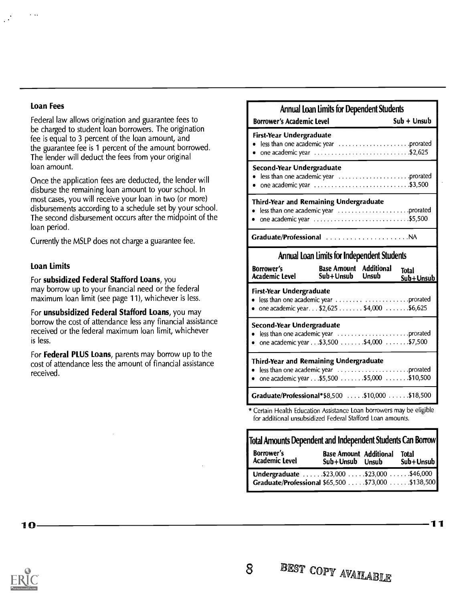### Loan Fees

Federal law allows origination and guarantee fees to be charged to student loan borrowers. The origination fee is equal to 3 percent of the loan amount, and the guarantee fee is 1 percent of the amount borrowed. The lender will deduct the fees from your original loan amount.

Once the application fees are deducted, the lender will disburse the remaining loan amount to your school. In most cases, you will receive your loan in two (or more) disbursements according to a schedule set by your school. The second disbursement occurs after the midpoint of the loan period.

Currently the MSLP does not charge a guarantee fee.

### Loan Limits

For subsidized Federal Stafford Loans, you

may borrow up to your financial need or the federal maximum loan limit (see page 11), whichever is less.

For unsubsidized Federal Stafford Loans, you may borrow the cost of attendance less any financial assistance received or the federal maximum loan limit, whichever is less.

For **Federal PLUS Loans**, parents may borrow up to the cost of attendance less the amount of financial assistance received.

| <b>Borrower's Academic Level</b>                                                                                                        | $Sub + Unsub$ |
|-----------------------------------------------------------------------------------------------------------------------------------------|---------------|
| First-Year Undergraduate<br>• one academic year $\dots\dots\dots\dots\dots\dots\dots\dots$ .\$2,625                                     |               |
| Second-Year Undergraduate<br>• one academic year $\ldots \ldots \ldots \ldots \ldots \ldots \ldots \ldots \ldots$ . \$3,500             |               |
| Third-Year and Remaining Undergraduate<br>• one academic year $\ldots \ldots \ldots \ldots \ldots \ldots \ldots \ldots \ldots$ .\$5,500 |               |

### Annual Loan limits for Independent Students

| <b>Borrower's</b><br>Academic Level                                                           | <b>Base Amount</b> Additional<br>Sub+Unsub Unsub | Total<br>Sub+Unsub |
|-----------------------------------------------------------------------------------------------|--------------------------------------------------|--------------------|
| First-Year Undergraduate<br>• one academic year. $.52,625$ $.54,000$ $.56,625$                |                                                  |                    |
| Second-Year Undergraduate<br>• one academic year \$3,500 \$4,000 \$7,500                      |                                                  |                    |
| <b>Third-Year and Remaining Undergraduate</b><br>• one academic year \$5,500 \$5,000 \$10,500 |                                                  |                    |
| Graduate/Professional*\$8,500 \$10,000 \$18,500                                               |                                                  |                    |
| * Cortain Hoalth Education Assistance Loan borrowers may be eligible                          |                                                  |                    |

\* Certain Health Education Assistance Loan borrowers may be eligible for additional unsubsidized Federal Stafford Loan amounts.

| Total Amounts Dependent and Independent Students Can Borrow                                     |                                                  |  |                           |
|-------------------------------------------------------------------------------------------------|--------------------------------------------------|--|---------------------------|
| <b>Borrower's</b><br><b>Academic Level</b>                                                      | <b>Base Amount Additional</b><br>Sub+Unsub Unsub |  | <b>Total</b><br>Sub+Unsub |
| Undergraduate \$23,000 \$23,000 \$46,000<br>Graduate/Professional \$65,500  \$73,000  \$138,500 |                                                  |  |                           |

11

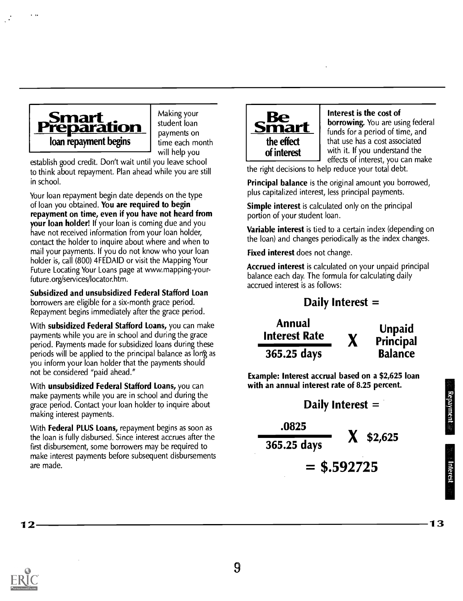

Making your student loan payments on time each month will help you

establish good credit. Don't wait until you leave school to think about repayment. Plan ahead while you are still in school.

Your loan repayment begin date depends on the type of loan you obtained. You are required to begin repayment on time, even if you have not heard from your loan holder! If your loan is coming due and you have not received information from your loan holder, contact the holder to inquire about where and when to mail your payments. If you do not know who your loan holder is, call (800) 4FEDAID or visit the Mapping Your Future Locating Your Loans page at www.mapping-yourfuture.org/services/locator.htm.

Subsidized and unsubsidized Federal Stafford Loan borrowers are eligible for a six-month grace period. Repayment begins immediately after the grace period.

With subsidized Federal Stafford Loans, you can make payments while you are in school and during the grace period. Payments made for subsidized loans during these periods will be applied to the principal balance as long as you inform your loan holder that the payments should not be considered "paid ahead."

With unsubsidized Federal Stafford Loans, you can make payments while you are in school and during the grace period. Contact your loan holder to inquire about making interest payments.

With **Federal PLUS Loans, repayment begins as soon as** the loan is fully disbursed. Since interest accrues after the first disbursement, some borrowers may be required to make interest payments before subsequent disbursements are made.



Interest is the cost of borrowing. You are using federal funds for a period of time, and that use has a cost associated with it. If you understand the effects of interest, you can make

the right decisions to help reduce your total debt.

**Principal balance** is the original amount you borrowed, plus capitalized interest, less principal payments.

Simple interest is calculated only on the principal portion of your student loan.

Variable interest is tied to a certain index (depending on the loan) and changes periodically as the index changes.

Fixed interest does not change.

Accrued interest is calculated on your unpaid principal balance each day. The formula for calculating daily accrued interest is as follows:

### Daily Interest =

Annual Interest Rate X 365.25 days Unpaid Principal Balance

Example: Interest accrual based on a \$2,625 loan with an annual interest rate of 8.25 percent.

Daily Interest = .0825 365.25 days  $=$  \$.592725  $$2,625$ 

13

 $12 -$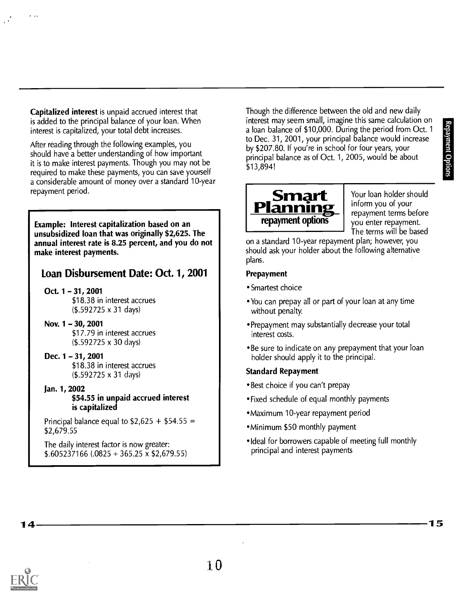Capitalized interest is unpaid accrued interest that is added to the principal balance of your loan. When interest is capitalized, your total debt increases.

After reading through the following examples, you should have a better understanding of how important it is to make interest payments. Though you may not be required to make these payments, you can save yourself a considerable amount of money over a standard 10-year repayment period.

Example: Interest capitalization based on an unsubsidized loan that was originally \$2,625. The annual interest rate is 8.25 percent, and you do not make interest payments.

### Loan Disbursement Date: Oct. 1, 2001

Oct. 1 - 31, 2001 \$18.38 in interest accrues (\$.592725 x 31 days)

- Nov.  $1 30$ , 2001 \$17.79 in interest accrues (\$.592725 x 30 days)
- Dec. 1 31, 2001 \$18.38 in interest accrues (\$.592725 x 31 days)
- Jan. 1, 2002 \$54.55 in unpaid accrued interest is capitalized

Principal balance equal to  $$2,625 + $54.55 =$ \$2,679.55

The daily interest factor is now greater:  $$.605237166(.0825 \div 365.25 \times $2,679.55)$  Though the difference between the old and new daily interest may seem small, imagine this same calculation on<br>a loan balance of \$10,000. During the period from Oct. 1<br>to Dec. 31, 2001, your principal balance would increase<br>by \$207.80. If you're in school for four years, you a loan balance of \$10,000. During the period from Oct. 1 to Dec. 31, 2001, your principal balance would increase by \$207.80. If you're in school for four years, your principal balance as of Oct. 1, 2005, would be about \$13,894!



Your loan holder should inform you of your you enter repayment. The terms will be based

on a standard 10-year repayment plan; however, you should ask your holder about the following alternative plans.

### Prepayment

- Smartest choice
- You can prepay all or part of your loan at any time without penalty.
- Prepayment may substantially decrease your total interest costs.
- Be sure to indicate on any prepayment that your loan holder should apply it to the principal.

### Standard Repayment

- Best choice if you can't prepay
- Fixed schedule of equal monthly payments
- Maximum 10-year repayment period
- 'Minimum \$50 monthly payment
- Ideal for borrowers capable of meeting full monthly principal and interest payments

14

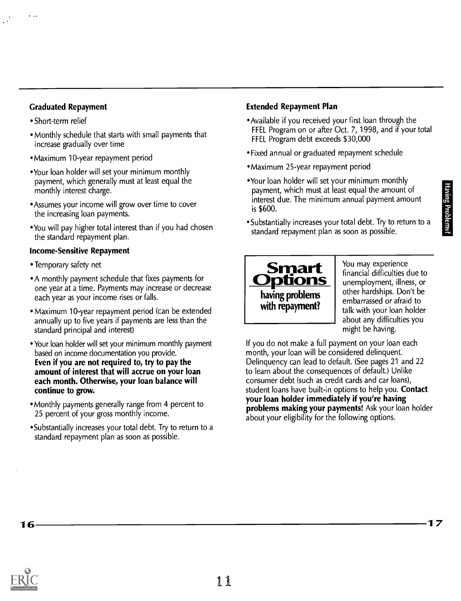### Graduated Repayment

- Short-term relief
- Monthly schedule that starts with small payments that increase gradually over time
- Maximum 10-year repayment period
- 'Your loan holder will set your minimum monthly payment, which generally must at least equal the monthly interest charge.
- 'Assumes your income will grow over time to cover the increasing loan payments.
- You will pay higher total interest than if you had chosen the standard repayment plan.

### Income-Sensitive Repayment

- Temporary safety net
- A monthly payment schedule that fixes payments for one year at a time. Payments may increase or decrease each year as your income rises or falls.
- Maximum 10-year repayment period (can be extended annually up to five years if payments are less than the standard principal and interest)
- Your loan holder will set your minimum monthly payment based on income documentation you provide. Even if you are not required to, try to pay the amount of interest that will accrue on your loan each month. Otherwise, your loan balance will continue to grow.
- Monthly payments generally range from 4 percent to 25 percent of your gross monthly income.
- Substantially increases your total debt. Try to return to a standard repayment plan as soon as possible.

### Extended Repayment Plan

- Available if you received your first loan through the FFEL Program on or after Oct. 7, 1998, and if your total FEEL Program debt exceeds \$30,000
- Fixed annual or graduated repayment schedule
- 'Maximum 25-year repayment period
- 'Your loan holder will set your minimum monthly payment, which must at least equal the amount of interest due. The minimum annual payment amount is \$600.
- 'Substantially increases your total debt. Try to return to a standard repayment plan as soon as possible.



You may experience financial difficulties due to unemployment, illness, or other hardships. Don't be embarrassed or afraid to talk with your loan holder about any difficulties you might be having.

If you do not make a full payment on your loan each month, your loan will be considered delinquent. Delinquency can lead to default. (See pages 21 and 22 to learn about the consequences of default.) Unlike consumer debt (such as credit cards and car loans), student loans have built-in options to help you. Contact your loan holder immediately if you're having problems making your payments! Ask your loan holder about your eligibility for the following options.

16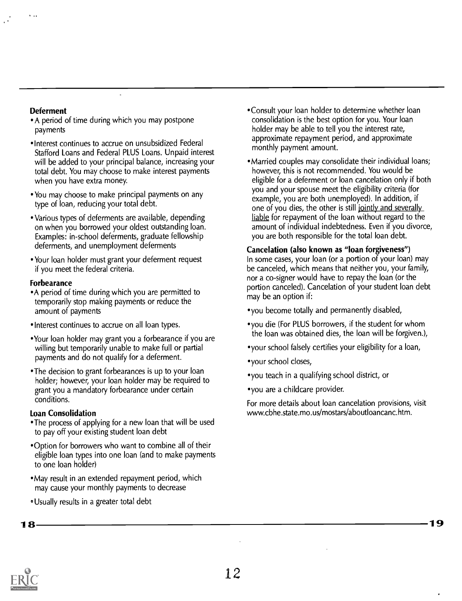### Deferment

- A period of time during which you may postpone payments
- Interest continues to accrue on unsubsidized Federal Stafford Loans and Federal PLUS Loans. Unpaid interest will be added to your principal balance, increasing your total debt. You may choose to make interest payments when you have extra money.
- You may choose to make principal payments on any type of loan, reducing your total debt.
- Various types of deferments are available, depending on when you borrowed your oldest outstanding loan. Examples: in-school deferments, graduate fellowship deferments, and unemployment deferments
- Your loan holder must grant your deferment request if you meet the federal criteria.

### Forbearance

- A period of time during which you are permitted to temporarily stop making payments or reduce the amount of payments
- "Interest continues to accrue on all loan types.
- "Your loan holder may grant you a forbearance if you are willing but temporarily unable to make full or partial payments and do not qualify for a deferment.
- The decision to grant forbearances is up to your loan holder; however, your loan holder may be required to grant you a mandatory forbearance under certain conditions.

### Loan Consolidation

- The process of applying for a new loan that will be used to pay off your existing student loan debt
- 'Option for borrowers who want to combine all of their eligible loan types into one loan (and to make payments to one loan holder)
- May result in an extended repayment period, which may cause your monthly payments to decrease
- Usually results in a greater total debt
- 'Consult your loan holder to determine whether loan consolidation is the best option for you. Your loan holder may be able to tell you the interest rate, approximate repayment period, and approximate monthly payment amount.
- Married couples may consolidate their individual loans; however, this is not recommended. You would be eligible for a deferment or loan cancelation only if both you and your spouse meet the eligibility criteria (for example, you are both unemployed). In addition, if one of you dies, the other is still jointly and severally liable for repayment of the loan without regard to the amount of individual indebtedness. Even if you divorce, you are both responsible for the total loan debt.

### Cancelation (also known as "loan forgiveness")

In some cases, your loan (or a portion of your loan) may be canceled, which means that neither you, your family, nor a co-signer would have to repay the loan (or the portion canceled). Cancelation of your student loan debt may be an option if:

- you become totally and permanently disabled,
- you die (For PLUS borrowers, if the student for whom the loan was obtained dies, the loan will be forgiven.),
- 'your school falsely certifies your eligibility for a loan,
- 'your school closes,
- you teach in a qualifying school district, or
- you are a childcare provider.

For more details about loan cancelation provisions, visit www.cbhe.state.mo.us/mostars/aboutloancanc.htm.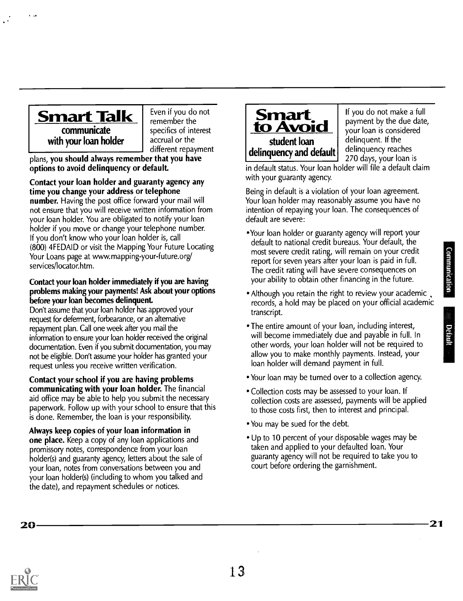

communicate with your loan holder

Even if you do not remember the specifics of interest accrual or the different repayment

plans, you should always remember that you have options to avoid delinquency or default

### Contact your loan holder and guaranty agency any time you change your address or telephone

number. Having the post office forward your mail will not ensure that you will receive written information from your loan holder. You are obligated to notify your loan holder if you move or change your telephone number. If you don't know who your loan holder is, call (800) 4FEDAID or visit the Mapping Your Future Locating Your Loans page at www.mapping-your-future.org/ services/locator.htm.

### Contact your loan holder immediately if you are having problems making your payments! Ask about your options before your loan becomes delinquent

Don't assume that your loan holder has approved your request for deferment, forbearance, or an alternative repayment plan. Call one week after you mail the information to ensure your loan holder received the original documentation. Even if you submit documentation, you may not be eligible. Don't assume your holder has granted your request unless you receive written verification.

Contact your school if you are having problems communicating with your loan holder. The financial aid office may be able to help you submit the necessary paperwork. Follow up with your school to ensure that this is done. Remember, the loan is your responsibility.

Always keep copies of your loan information in one place. Keep a copy of any loan applications and promissory notes, correspondence from your loan holder(s) and guaranty agency, letters about the sale of your loan, notes from conversations between you and your loan holder(s) (including to whom you talked and the date), and repayment schedules or notices.



If you do not make a full payment by the due date, your loan is considered delinquent. If the delinquency reaches 270 days, your loan is

in default status. Your loan holder will file a default claim with your guaranty agency.

Being in default is a violation of your loan agreement. Your loan holder may reasonably assume you have no intention of repaying your loan. The consequences of default are severe:

- Your loan holder or guaranty agency will report your default to national credit bureaus. Your default, the<br>most severe credit rating, will remain on your credit<br>report for seven years after your loan is paid in full.<br>The credit rating will have severe consequences on<br>your ab most severe credit rating, will remain on your credit report for seven years after your loan is paid in full. The credit rating will have severe consequences on your ability to obtain other financing in the future.
- Although you retain the right to review your academic records, a hold may be placed on your official academic transcript.
- The entire amount of your loan, including interest, The entire amount of your loan, including interest,<br>will become immediately due and payable in full. In<br>other words, your loan holder will not be required to other words, your loan holder will not be required to allow you to make monthly payments. Instead, your loan holder will demand payment in full.
- Your loan may be turned over to a collection agency.
- Collection costs may be assessed to your loan. If collection costs are assessed, payments will be applied to those costs first, then to interest and principal.
- You may be sued for the debt
- Up to 10 percent of your disposable wages may be taken and applied to your defaulted loan. Your guaranty agency will not be required to take you to court before ordering the garnishment.

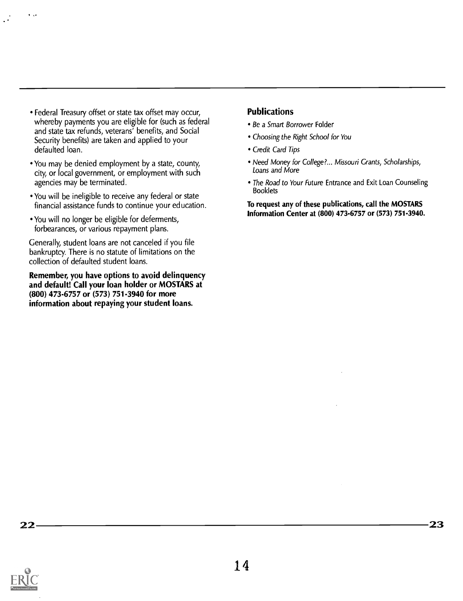- Federal Treasury offset or state tax offset may occur, whereby payments you are eligible for (such as federal and state tax refunds, veterans' benefits, and Social Security benefits) are taken and applied to your defaulted loan.
- You may be denied employment by a state, county, city, or local government, or employment with such agencies may be terminated.
- You will be ineligible to receive any federal or state financial assistance funds to continue your education.
- You will no longer be eligible for deferments, forbearances, or various repayment plans.

Generally, student loans are not canceled if you file bankruptcy. There is no statute of limitations on the collection of defaulted student loans.

Remember, you have options to avoid delinquency and default! Call your loan holder or MOSTARS at (800) 473-6757 or (573) 751-3940 for more information about repaying your student loans.

### Publications

- Be a Smart Borrower Folder
- Choosing the Right School for You
- Credit Card Tips
- Need Money for College?... Missouri Grants, Scholarships, Loans and More
- The Road to Your Future Entrance and Exit Loan Counseling Booklets

To request any of these publications, call the MOSTARS Information Center at (800) 473-6757 or (573) 751-3940.

22 23

 $\ddot{\phantom{a}}$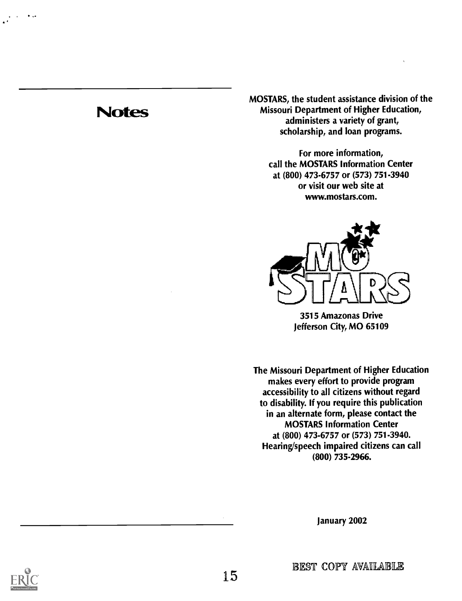## **Notes**

MOSTARS, the student assistance division of the Missouri Department of Higher Education, administers a variety of grant, scholarship, and loan programs.

> For more information, call the MOSTARS Information Center at (800) 473.6757 or (573) 751-3940 or visit our web site at www.mostars.com.



3515 Amazonas Drive Jefferson City, MO 65109

The Missouri Department of Higher Education makes every effort to provide program accessibility to all citizens without regard to disability. If you require this publication in an alternate form, please contact the MOSTARS Information Center at (800) 473.6757 or (573) 751-3940. Hearing/speech impaired citizens can call (800) 735-2966.

January 2002



BEST COPY AVAILABLE